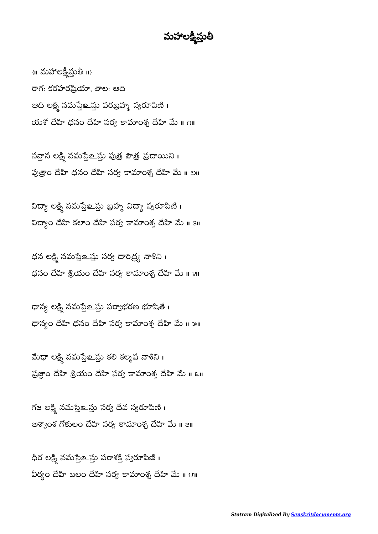## మహాలక్ష్మస్తుత

 $\{ \parallel \Delta \mathbf{S}^{\text{r}} \cup \mathbf{S}^{\text{r}} \cup \mathbf{S}^{\text{r}} \}$   $\{ \parallel \}$ రాగ: కరహరప్రియా, తాల: ఆది ఆది లక్ష్మి నమస్తేஉస్తు పరబ్రహ్మ స్వరూపిణి । యశో దేహి ధనం దేహి సర్వ కామాంశ్చ దేహి మే ॥ ౧॥

సన్తాన లక్షి నమస్తే లన్న పుత్ర పౌత్ర ప్రదాయిని । పుత్రాం దేహి ధనం దేహి సర్వ కామాంశ్చ దేహి మే ॥ ౨॥

విద్యా లక్ష్మి నమస్తే ఒప్పు విద్యా స్వరూపిణి । విద్యాం దేహి కలాం దేహి సర్వ కామాంశ్చ దేహి మే ॥ 3॥

 $\beta$ ధన లక్ష్మి నమస్తే బస్తు సర్వ దారిద్ర్య నాశిని  $\alpha$  $\beta$ ధనం దేహి శ్రీయం దేహి సర్య కామాంశ్న దేహి మే ॥ ४॥

ధాన్య లక్ష్మి నమస్తే అవు సర్యాభరణ భూషితే। ధాన్యం దేహి ధనం దేహి సర్వ కామాంశ్చ దేహి మే ॥ ౫॥

మేధా లక్ష్మి నమస్తే లన్ను కలి కల్మష నాశిని। ప్రజ్ఞాం దేహి శ్రీయం దేహి సర్య కామాంశ్చ దేహి మే ॥ ६॥

గజ లక్షి నమస్తే ప్రు సర్వ దేవ స్వరూపిణి । అశ్వాంశ గోకులం దేహి సర్వ కామాంశ్చ దేహి మే ॥ a॥

ధీర లక్ష్మి నమస్తే ఒప్తు పరాశక్తి స్వరూపిణి । వీర్యం దేహి బలం దేహి సర్వ కామాంశ్న దేహి మే ॥ ౮॥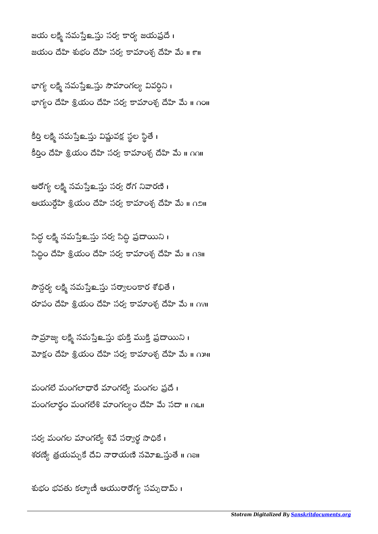జయ లక్ష్మి నమస్తేஉస్తు సర్వ కార్య జయప్రదే। జయం దేహి శుభం దేహి సర్య కామాంశ్చ దేహి మే ॥ ౯॥

భాగ్య లక్ష్మి నమస్తెలక్ష్మ సౌమాంగల్య వివర్ధిని । భాగ్యం దేహి శ్రియం దేహి సర్య కామాంశ్చ దేహి మే ॥ ∩౦॥

కర్తి లక్ష్మీ నమస్తెలన్తు విష్ణువక్ష స్థల స్థితె i  $\overline{a}$ కీర్తిం దేహి శ్రీయం దేహి సర్వ కామాంశ్చ దేహి మే ॥ ౧౧॥

ఆరోగ్య లక్ష్మి నమస్తే అవు సర్వ రోగ నివారణి। ఆయుర్గేహి శ్రియం దేహి సర్వ కామాంశ్చ దేహి మే ॥ ౧౨॥

సిద్ధ లక్ష్మీ నమసేే మై సర్య సీద్ధీ ప్రదాయిని । సీద్ధీం దేహి శ్రీయం దేహి సర్వ కామాంశ్చ దేహి మే ॥ ౧౩॥

సౌన్గర్య లక్ష్మి సమేతే - సాంగ్రాంర శోభితే । రూపం దేహి శ్రియం దేహి సర్య కామాంశ్చ దేహి మే ॥ ∩४॥

సామ్రాజ్య లక్ష్మి నమస్తే బైవు భుక్తి ప్రభాయిని । మోక్షం దేహి శ్రీయం దేహి సర్య కామాంశ్చ దేహి మే ॥ ౧౫॥

మంగలే మంగలాధారే మాంగల్యే మంగల ప్రదే। మంగలార్థం మంగలేశ మాంగల్యం దేహి మే సదా ။ గ్

సర్వ మంగల మాంగల్యే శివే సర్వార్థ సాధికే । శరణ్యే త్రయమ్బకే దేవి నారాయణి నమోஉస్తుతే <mark>။</mark> ∩౭॥

శుభం భవతు కల్యాణీ ఆయురారోగ్య సమ్పదామ్ ।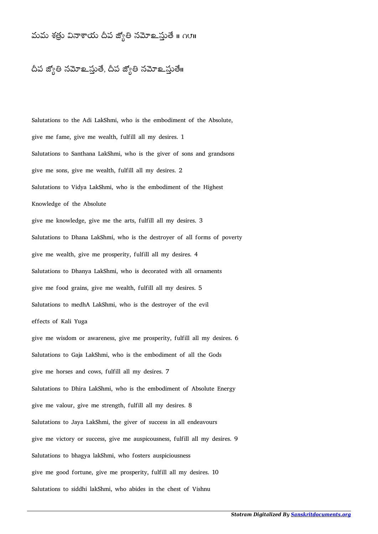## మమ శత్రు వినాశాయ దీప జ్యోతి నమోஉస్తుతే ॥ ౧౮॥

## దీప జ్యోతి నమోஉస్తుతే, దీప జ్యోతి నమోஉస్తుతే။

Salutations to the Adi LakShmi, who is the embodiment of the Absolute, give me fame, give me wealth, fulfill all my desires. 1 Salutations to Santhana LakShmi, who is the giver of sons and grandsons give me sons, give me wealth, fulfill all my desires. 2 Salutations to Vidya LakShmi, who is the embodiment of the Highest Knowledge of the Absolute give me knowledge, give me the arts, fulfill all my desires. 3 Salutations to Dhana LakShmi, who is the destroyer of all forms of poverty give me wealth, give me prosperity, fulfill all my desires. 4 Salutations to Dhanya LakShmi, who is decorated with all ornaments give me food grains, give me wealth, fulfill all my desires. 5 Salutations to medhA LakShmi, who is the destroyer of the evil effects of Kali Yuga give me wisdom or awareness, give me prosperity, fulfill all my desires. 6 Salutations to Gaja LakShmi, who is the embodiment of all the Gods give me horses and cows, fulfill all my desires. 7 Salutations to Dhira LakShmi, who is the embodiment of Absolute Energy give me valour, give me strength, fulfill all my desires. 8 Salutations to Jaya LakShmi, the giver of success in all endeavours give me victory or success, give me auspicousness, fulfill all my desires. 9 Salutations to bhagya lakShmi, who fosters auspiciousness give me good fortune, give me prosperity, fulfill all my desires. 10 Salutations to siddhi lakShmi, who abides in the chest of Vishnu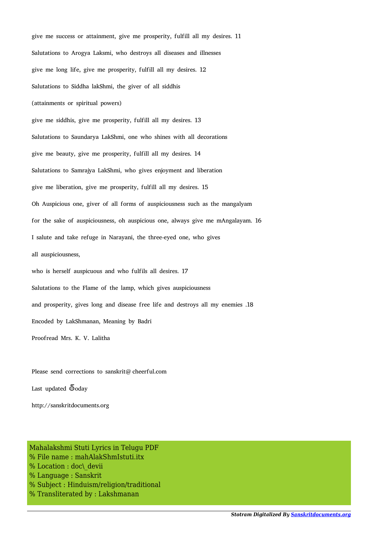give me success or attainment, give me prosperity, fulfill all my desires. 11 Salutations to Arogya Laksmi, who destroys all diseases and illnesses give me long life, give me prosperity, fulfill all my desires. 12 Salutations to Siddha lakShmi, the giver of all siddhis (attainments or spiritual powers) give me siddhis, give me prosperity, fulfill all my desires. 13 Salutations to Saundarya LakShmi, one who shines with all decorations give me beauty, give me prosperity, fulfill all my desires. 14 Salutations to Samrajya LakShmi, who gives enjoyment and liberation give me liberation, give me prosperity, fulfill all my desires. 15 Oh Auspicious one, giver of all forms of auspiciousness such as the mangalyam for the sake of auspiciousness, oh auspicious one, always give me mAngalayam. 16 I salute and take refuge in Narayani, the three-eyed one, who gives all auspiciousness, who is herself auspicuous and who fulfils all desires. 17 Salutations to the Flame of the lamp, which gives auspiciousness and prosperity, gives long and disease free life and destroys all my enemies .18 Encoded by LakShmanan, Meaning by Badri Proofread Mrs. K. V. Lalitha

Please send corrections to sanskrit@cheerful.com Last updated  $\overline{6}$ oday

http://sanskritdocuments.org

Mahalakshmi Stuti Lyrics in Telugu PDF % File name : mahAlakShmIstuti.itx % Location : doc\ devii % Language : Sanskrit % Subject : Hinduism/religion/traditional % Transliterated by : Lakshmanan